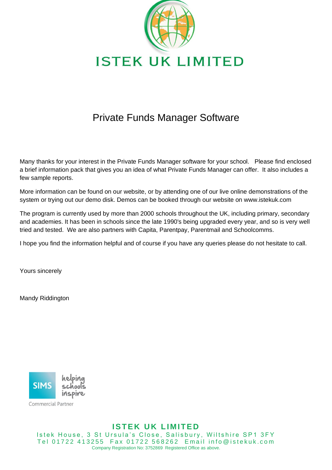

# Private Funds Manager Software

Many thanks for your interest in the Private Funds Manager software for your school. Please find enclosed a brief information pack that gives you an idea of what Private Funds Manager can offer. It also includes a few sample reports.

More information can be found on our website, or by attending one of our live online demonstrations of the system or trying out our demo disk. Demos can be booked through our website on www.istekuk.com

The program is currently used by more than 2000 schools throughout the UK, including primary, secondary and academies. It has been in schools since the late 1990's being upgraded every year, and so is very well tried and tested. We are also partners with Capita, Parentpay, Parentmail and Schoolcomms.

I hope you find the information helpful and of course if you have any queries please do not hesitate to call.

Yours sincerely

Mandy Riddington



Commercial Partner

#### **ISTEK UK LIMITED**

Istek House, 3 St Ursula's Close, Salisbury, Wiltshire SP1 3FY Tel 01722 413255 Fax 01722 568262 Email info@istekuk.com Company Registration No: 3752869 Registered Office as above.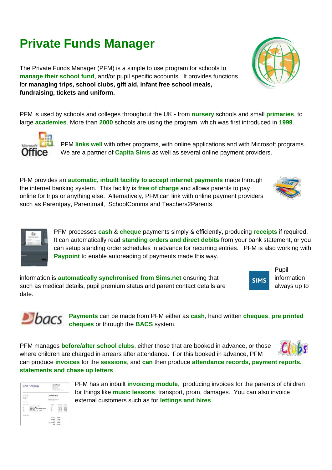# **Private Funds Manager**

The Private Funds Manager (PFM) is a simple to use program for schools to **manage their school fund**, and/or pupil specific accounts. It provides functions for **managing trips, school clubs, gift aid, infant free school meals, fundraising, tickets and uniform.**

PFM is used by schools and colleges throughout the UK - from **nursery** schools and small **primaries**, to large **academies**. More than **2000** schools are using the program, which was first introduced in **1999**.

> PFM **links well** with other programs, with online applications and with Microsoft programs. We are a partner of **Capita Sims** as well as several online payment providers.

PFM provides an **automatic, inbuilt facility to accept internet payments** made through the internet banking system. This facility is **free of charge** and allows parents to pay online for trips or anything else. Alternatively, PFM can link with online payment providers such as Parentpay, Parentmail, SchoolComms and Teachers2Parents.

> PFM processes **cash** & **cheque** payments simply & efficiently, producing **receipts** if required. It can automatically read **standing orders and direct debits** from your bank statement, or you can setup standing order schedules in advance for recurring entries. PFM is also working with **Paypoint** to enable autoreading of payments made this way.

information is **automatically synchronised from Sims.net** ensuring that **information** information such as medical details, pupil premium status and parent contact details are always up to date.

> **Payments** can be made from PFM either as **cash**, hand written **cheques**, **pre printed cheques** or through the **BACS** system.

PFM manages **before/after school clubs**, either those that are booked in advance, or those where children are charged in arrears after attendance. For this booked in advance, PFM can produce **invoices** for the **sessions**, and **can** then produce **attendance records, payment reports, statements and chase up letters**.

> PFM has an inbuilt **invoicing module**, producing invoices for the parents of children for things like **music lessons**, transport, prom, damages. You can also invoice external customers such as for **lettings and hires**.



 $D$ bacs











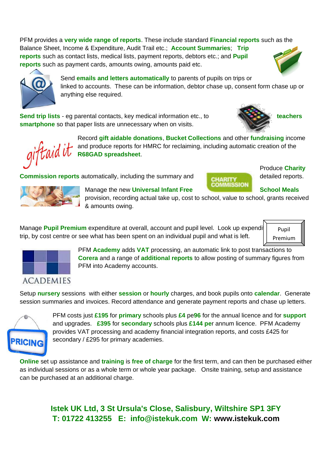PFM provides a **very wide range of reports**. These include standard **Financial reports** such as the Balance Sheet, Income & Expenditure, Audit Trail etc.; **Account Summaries**; **Trip reports** such as contact lists, medical lists, payment reports, debtors etc.; and **Pupil reports** such as payment cards, amounts owing, amounts paid etc.

> Send **emails and letters automatically** to parents of pupils on trips or linked to accounts. These can be information, debtor chase up, consent form chase up or anything else required.

**Send trip lists** - eg parental contacts, key medical information etc., to **teachers teachers smartphone** so that paper lists are unnecessary when on visits.

> Record **gift aidable donations**, **Bucket Collections** and other **fundraising** income and produce reports for HMRC for reclaiming, including automatic creation of the **R68GAD spreadsheet**.

**Commission reports** automatically, including the summary and **CHARITY** detailed reports.

Manage the new Universal Infant Free **School Meals** School Meals provision, recording actual take up, cost to school, value to school, grants received & amounts owing.

**COMMISSION** 

Manage **Pupil Premium** expenditure at overall, account and pupil level. Look up expendi trip, by cost centre or see what has been spent on an individual pupil and what is left.

> PFM **Academy** adds **VAT** processing, an automatic link to post transactions to **Corera** and a range of **additional reports** to allow posting of summary figures from PFM into Academy accounts.

Setup **nursery** sessions with either **session** or **hourly** charges, and book pupils onto **calendar**. Generate session summaries and invoices. Record attendance and generate payment reports and chase up letters.

> PFM costs just **£195** for **primary** schools plus **£4** pe**96** for the annual licence and for **support** and upgrades. **£395** for **secondary** schools plus **£144 pe**r annum licence. PFM Academy provides VAT processing and academy financial integration reports, and costs £425 for secondary / £295 for primary academies.

**Online** set up assistance and **training** is **free of charge** for the first term, and can then be purchased either as individual sessions or as a whole term or whole year package. Onsite training, setup and assistance can be purchased at an additional charge.

> **Istek UK Ltd, 3 St Ursula's Close, Salisbury, Wiltshire SP1 3FY T: 01722 413255 E: info@istekuk.com W: [www.istekuk.com](http://www.istekuk.com/)**



**RICING** 





Produce **Charity** 

Pupil Premium





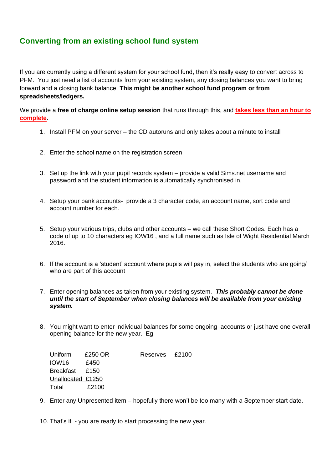#### **Converting from an existing school fund system**

If you are currently using a different system for your school fund, then it's really easy to convert across to PFM. You just need a list of accounts from your existing system, any closing balances you want to bring forward and a closing bank balance. **This might be another school fund program or from spreadsheets/ledgers.**

We provide a **free of charge online setup session** that runs through this, and **takes less than an hour to complete**.

- 1. Install PFM on your server the CD autoruns and only takes about a minute to install
- 2. Enter the school name on the registration screen
- 3. Set up the link with your pupil records system provide a valid Sims.net username and password and the student information is automatically synchronised in.
- 4. Setup your bank accounts- provide a 3 character code, an account name, sort code and account number for each.
- 5. Setup your various trips, clubs and other accounts we call these Short Codes. Each has a code of up to 10 characters eg IOW16 , and a full name such as Isle of Wight Residential March 2016.
- 6. If the account is a 'student' account where pupils will pay in, select the students who are going/ who are part of this account
- 7. Enter opening balances as taken from your existing system. *This probably cannot be done until the start of September when closing balances will be available from your existing system.*
- 8. You might want to enter individual balances for some ongoing accounts or just have one overall opening balance for the new year. Eg

| Uniform           | £250 OR | Reserves £2100 |  |
|-------------------|---------|----------------|--|
| IOW16             | £450    |                |  |
| Breakfast £150    |         |                |  |
| Unallocated £1250 |         |                |  |
| Total             | £2100   |                |  |

9. Enter any Unpresented item – hopefully there won't be too many with a September start date.

10. That's it - you are ready to start processing the new year.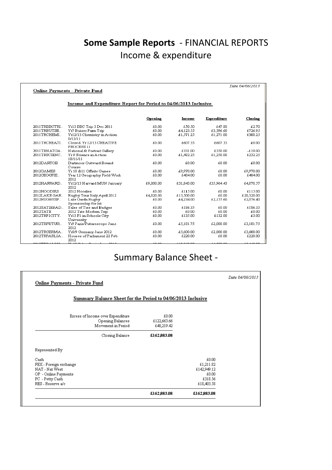## **Some Sample Reports** - FINANCIAL REPORTS Income & expenditure

|               |                                                                  |           |            |             | Date 04/06/2013 |
|---------------|------------------------------------------------------------------|-----------|------------|-------------|-----------------|
|               | <b>Online Payments - Private Fund</b>                            |           |            |             |                 |
|               |                                                                  |           |            |             |                 |
|               | Income and Expenditure Report for Period to 04/06/2013 Inclusive |           |            |             |                 |
|               |                                                                  |           |            |             |                 |
|               |                                                                  | Opening   | Income     | Expenditure | Closing         |
| 2011TRBBCTRI  | Yr13 BBC Trip 3 Dec 2011                                         | £0.00     | £50.50     | £47.80      | £2.70           |
| 2011TRBUTSE   | Yr7 Butser Farm Trip                                             | £0.00     | £4,123.55  | £3,396.60   | £726.95         |
| 2011TRCHEMI   | Yr12/13 Chemistry in Action<br>8/12/11                           | £0.00     | £1,571.25  | £1,271.00   | £300.25         |
| 2011TRCREATI  | Closed, Yr 12/13 CREATIVE<br>PROCESS 11                          | £0.00     | £607.35    | £607.35     | £0.00           |
| 2011TRNATGA   | National & Portrait Gallery                                      | £0.00     | £331.00    | £350.00     | $-£19.00$       |
| 2011TRSCIENC  | Yr 9 Science in Action<br>18/11/11                               | £0.00     | £1.482.25  | £1,250.00   | £232.25         |
| 2012DARTOB    | Dartmoor Outward Bound<br>Course                                 | £0.00     | £0.00      | £0.00       | £0.00           |
| 2012GAMES     | Yr 10 & 11 Offsite Games                                         | £0.00     | £9,970.00  | £0.00       | £9,970.00       |
| 2012GEOGFIE   | Year 12 Geography Field Work<br>2012                             | £0.00     | £484.00    | £0.00       | £484.00         |
| 2012HARVARD   | Yr12/13 Harvard MUN January<br>2012                              | £9,000.00 | £31,843.00 | £35,964.43  | £4,878.57       |
| 2012HOODIES   | 2012 Hoodies                                                     | £0.00     | £115.00    | £0.00       | £115.00         |
| 2012LAKE GAR  | Rugby Tour Italy April 2012                                      | £4,820.00 | £15,500.00 | £0.00       | £20,320.00      |
| 2012RUGBYSP   | Lake Garda Rugby<br>Sponsorship for kit                          | £0.00     | £4,234.00  | £2,157.60   | £2,076.40       |
| 2012SATIEBAD  | Sales of Ties and Badges                                         | £0.00     | £186.35    | £0.00       | £186.35         |
| 2012TATE      | 2012 Tate Modern Trip                                            | £0.00     | £0.00      | £0.00       | £0.00           |
| 2012TRF1CITY. | Yr13 F1 in Schools City                                          | £0.00     | £135.00    | £132.00     | £3.00           |
|               | University                                                       |           |            |             |                 |
| 2012TRFUTUR   | Yr9 Paris/Futuroscope June<br>2012                               | £0.00     | £5,181.75  | £2,000.00   | £3,181.75       |
| 2012TRGERMA   | Yr8/9 Germany June 2012                                          | £0.00     | £5,600.00  | £2,000.00   | £3,600.00       |
| 2012TRPARLIA  | Houses of Parliament 22 Feb<br>2012                              | £0.00     | £220.00    | £0.00       | £220.00         |
| <del></del>   |                                                                  | ەم دە     | 10.2500    | 10000       | $-1.000$        |

# Summary Balance Sheet -

| <b>Online Payments - Private Fund</b>                                       |                                    |             | Date 04/06/2013 |
|-----------------------------------------------------------------------------|------------------------------------|-------------|-----------------|
| Summary Balance Sheet for the Period to 04/06/2013 Inclusive                |                                    |             |                 |
| Excess of Income over Expenditure<br>Opening Balances<br>Movement in Period | £0.00<br>£122,663.66<br>£40,219.42 |             |                 |
| Closing Balance                                                             | £162,883.08                        |             |                 |
| Represented By                                                              |                                    |             |                 |
| Cash                                                                        |                                    | £0.00       |                 |
| FEX - Foreign exchange                                                      |                                    | £1,211.82   |                 |
| NAT - Nat West                                                              |                                    | £142,949.12 |                 |
| OP - Online Payments                                                        |                                    | £0.00       |                 |
| PC - Petty Cash                                                             |                                    | £318.56     |                 |
| RES - Reserve a/c                                                           |                                    | £18,403.58  |                 |
|                                                                             | £162,883.08                        | £162,883.08 |                 |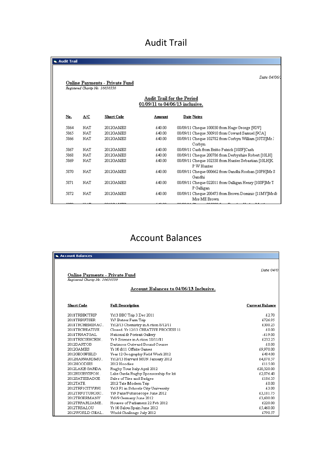## Audit Trail

| <b>G. Audit Trail</b> |            |                                                                          |                                                                      |                                                                      |
|-----------------------|------------|--------------------------------------------------------------------------|----------------------------------------------------------------------|----------------------------------------------------------------------|
|                       |            | <b>Online Payments - Private Fund</b><br>Registered Charity No. 16656336 |                                                                      | Date 04/06/                                                          |
|                       |            |                                                                          | <b>Audit Trail for the Period</b><br>01/09/11 to 04/06/13 inclusive. |                                                                      |
| No.                   | A/C        | <b>Short Code</b>                                                        | Amount                                                               | Date Notes                                                           |
| 5864                  | <b>NAT</b> | 2012GAMES                                                                | £40.00                                                               | 08/09/11 Cheque 100030 from Hage George [9DV]                        |
| 5865                  | NAT        | 2012GAMES                                                                | £40.00                                                               | 08/09/11 Cheque 500910 from Coward Samuel [9CA]                      |
| 5866                  | <b>NAT</b> | 2012GAMES                                                                | £40.00                                                               | 08/09/11 Cheque 102782 from Corbyn William [10TS]Mr J<br>Corbyn      |
| 5867                  | <b>NAT</b> | 2012GAMES                                                                | £40.00                                                               | 08/09/11 Cash from Britto Patrick [10SF]Cash                         |
| 5868                  | NAT        | 2012GAMES                                                                | £40.00                                                               | 08/09/11 Cheque 200786 from Derbyshire Robert [10LH]                 |
| 5869                  | NAT        | 2012GAMES                                                                | £40.00                                                               | 08/09/11 Cheque 102338 from Hunter Sebastian [10LH]K<br>P W Hunter   |
| 5870                  | <b>NAT</b> | 2012GAMES                                                                | £40.00                                                               | 08/09/11 Cheque 000662 from Gandhi Roshan [10PH]Mr S<br>Gandhi       |
| 5871                  | NAT        | 2012GAMES                                                                | £40.00                                                               | 08/09/11 Cheque 022011 from Galligan Henry [10SF]Mr T<br>P Galligan  |
| 5872                  | <b>NAT</b> | 2012GAMES                                                                | £40.00                                                               | 08/09/11 Cheque 200473 from Brown Dominic [11MY]Mr &<br>Mrs ME Brown |
|                       |            |                                                                          |                                                                      |                                                                      |

## Account Balances

| R. Account Balances                                                      |                                         |                        |  |  |  |
|--------------------------------------------------------------------------|-----------------------------------------|------------------------|--|--|--|
| <b>Online Payments - Private Fund</b><br>Registered Charity No. 16656336 |                                         | Date 04/0              |  |  |  |
|                                                                          | Account Balances to 04/06/13 Inclusive. |                        |  |  |  |
| <b>Short Code</b>                                                        | <b>Full Description</b>                 | <b>Current Balance</b> |  |  |  |
| 2011TRBBCTRIP                                                            | Yr13 BBC Trip 3 Dec 2011                | £2.70                  |  |  |  |
| 2011TRBUTSER                                                             | Yr7 Butser Farm Trip                    | £726.95                |  |  |  |
| 2011TRCHEMINAC.                                                          | Yr12/13 Chemistry in Action 8/12/11     | £300.25                |  |  |  |
| 2011TRCREATIVE                                                           | Closed, Yr 12/13 CREATIVE PROCESS 11    | £0.00                  |  |  |  |
| 2011TRNATGAL                                                             | National & Portrait Gallery             | $-£19.00$              |  |  |  |
| 2011TRSCIENCEIN                                                          | Yr 9 Science in Action 18/11/11         | £232.25                |  |  |  |
| 2012DARTOB                                                               | Dartmoor Outward Bound Course           | £0.00                  |  |  |  |
| 2012GAMES                                                                | Yr 10 & 11 Offsite Games                | £9,970.00              |  |  |  |
| 2012GEOGFIELD                                                            | Year 12 Geography Field Work 2012       | £484.00                |  |  |  |
| 2012HARVARDMU                                                            | Yr12/13 Harvard MUN January 2012        | £4,878.57              |  |  |  |
| 2012HOODIES                                                              | 2012 Hoodies                            | £115.00                |  |  |  |
| 2012LAKE GARDA                                                           | Rugby Tour Italy April 2012             | £20,320.00             |  |  |  |
| 2012RUGBYSPON                                                            | Lake Garda Rugby Sponsorship for kit    | £2,076.40              |  |  |  |
| 2012SATIEBADGE                                                           | Sales of Ties and Badges                | £186.35                |  |  |  |
| 2012TATE                                                                 | 2012 Tate Modern Trip                   | £0.00                  |  |  |  |
| 2012TRF1CITYUNI                                                          | Yr13 F1 in Schools City University      | £3.00                  |  |  |  |
| 2012TRFUTUROSC.                                                          | Yr9 Paris/Futuroscope June 2012         | £3,181.75              |  |  |  |
| 2012TRGERMANY                                                            | Yr8/9 Germany June 2012                 | £3,600.00              |  |  |  |
| 2012TRPARLIAME                                                           | Houses of Parliament 22 Feb 2012        | £220.00                |  |  |  |
| 2012TRSALOU                                                              | Yr 10 Salou Spain June 2012             | £5,460.00              |  |  |  |
| 2012WORLD CHAL                                                           | World Challenge July 2012               | £790.57                |  |  |  |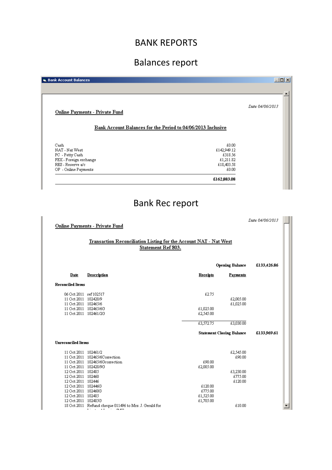## BANK REPORTS

# Balances report

| <b>B. Bank Account Balances</b>       | $\Box$                                                       |
|---------------------------------------|--------------------------------------------------------------|
|                                       |                                                              |
|                                       |                                                              |
|                                       | Date 04/06/2013                                              |
| <b>Online Payments - Private Fund</b> |                                                              |
|                                       |                                                              |
|                                       | Bank Account Balances for the Period to 04/06/2013 Inclusive |
|                                       |                                                              |
| Cash                                  | £0.00                                                        |
| NAT - Nat West                        | £142,949.12                                                  |
| PC - Petty Cash                       | £318.56                                                      |
| FEX - Foreign exchange                | £1,211.82                                                    |
| RES - Reserve a/c                     | £18,403.58                                                   |
| OP - Online Payments                  | £0.00                                                        |
|                                       | £162,883.08                                                  |

# Bank Rec report

|                                           |                                                                          |                 |                                  | Date 04/06/2013 |
|-------------------------------------------|--------------------------------------------------------------------------|-----------------|----------------------------------|-----------------|
|                                           | <b>Online Payments - Private Fund</b>                                    |                 |                                  |                 |
|                                           |                                                                          |                 |                                  |                 |
|                                           | <b>Transaction Reconciliation Listing for the Account NAT - Nat West</b> |                 |                                  |                 |
|                                           | Statement Ref 803.                                                       |                 |                                  |                 |
|                                           |                                                                          |                 |                                  |                 |
|                                           |                                                                          |                 | <b>Opening Balance</b>           | £133,426.86     |
| Date                                      | Description                                                              | <b>Receipts</b> | Payments                         |                 |
| <b>Reconciled Items</b>                   |                                                                          |                 |                                  |                 |
| 06 Oct 2011 ref 102517                    |                                                                          | £2.75           |                                  |                 |
| 11 Oct 2011 102428/9                      |                                                                          |                 | £2,005.00                        |                 |
| 11 Oct 2011 102465/6                      |                                                                          |                 | £1,025.00                        |                 |
| 11 Oct 2011 102465/6G                     |                                                                          | £1,025.00       |                                  |                 |
| 11 Oct 2011 102461/2G                     |                                                                          | £2,545.00       |                                  |                 |
|                                           |                                                                          | £3,572.75       | £3,030.00                        |                 |
|                                           |                                                                          |                 | <b>Statement Closing Balance</b> | £133,969.61     |
| <b>Hureconciled Items</b>                 |                                                                          |                 |                                  |                 |
| 11 Oct 2011 102461/2                      |                                                                          |                 | £2,545.00                        |                 |
|                                           | 11 Oct 2011 102465/6Correction                                           |                 | £90.00                           |                 |
|                                           | 11 Oct 2011 102465/6Gcorrection                                          | £90.00          |                                  |                 |
| 11 Oct 2011 102428/9G                     |                                                                          | £2,005.00       |                                  |                 |
| 12 Oct 2011 102485                        |                                                                          |                 | £3,230.00                        |                 |
| 12 Oct 2011 102460                        |                                                                          |                 | £775.00                          |                 |
| 12 Oct 2011 102446<br>12 Oct 2011 102446G |                                                                          | £120.00         | £120.00                          |                 |
| 12 Oct 2011 102460G                       |                                                                          | £775.00         |                                  |                 |
| 12 Oct 2011 102485                        |                                                                          | £1,525.00       |                                  |                 |
| 12 Oct 2011 102485G                       |                                                                          | £1,705.00       |                                  |                 |
|                                           | 18 Oct 2011 Refund cheque 011496 to Mrs. J. Gerald for                   |                 | £10.00                           |                 |
|                                           | <b>The Committee</b><br><b>CLATT</b>                                     |                 |                                  |                 |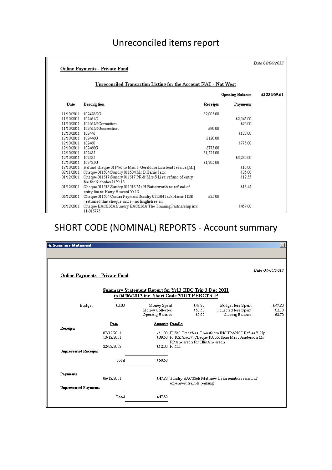## Unreconciled items report

|                     | <b>Online Payments - Private Fund</b>                                                                           |           |                        | Date 04/06/2013 |
|---------------------|-----------------------------------------------------------------------------------------------------------------|-----------|------------------------|-----------------|
|                     | <u><b>Unreconciled Transaction Listing for the Account NAT - Nat West</b></u>                                   |           |                        |                 |
|                     |                                                                                                                 |           | <b>Opening Balance</b> | £133.969.61     |
| Date                | Description                                                                                                     | Receipts  | Payments               |                 |
| 11/10/2011          | 102428/9G                                                                                                       | £2,005.00 |                        |                 |
| 11/10/2011 102461/2 |                                                                                                                 |           | £2,545.00              |                 |
|                     | 11/10/2011 102465/6Correction                                                                                   |           | £90.00                 |                 |
|                     | 11/10/2011 102465/6Gcorrection                                                                                  | £90.00    |                        |                 |
| 12/10/2011 102446   |                                                                                                                 |           | £120.00                |                 |
| 12/10/2011 102446G  |                                                                                                                 | £120.00   |                        |                 |
| 12/10/2011 102460   |                                                                                                                 |           | £775.00                |                 |
| 12/10/2011 102460G  |                                                                                                                 | £775.00   |                        |                 |
| 12/10/2011 102485   |                                                                                                                 | £1,525.00 |                        |                 |
| 12/10/2011 102485   |                                                                                                                 |           | £3,230.00              |                 |
| 12/10/2011 102485G  |                                                                                                                 | £1,705.00 |                        |                 |
|                     | 18/10/2011 Refund cheque 011496 to Mrs. J. Gerald for Linstead Jessica [MI]                                     |           | £10.00                 |                 |
| 02/11/2011          | Cheque 011504 Sundry 011504 Mr D Harris Jack                                                                    |           | £25.00                 |                 |
| 01/12/2011          | Cheque 011517 Sundry 011517 PR & Mrs S Li re: refund of entry<br>fee for Nicholas Li Yr 13                      |           | £12.55                 |                 |
| 01/12/2011          | Cheque 011518 Sundry 011518 Ms H Butterworth re: refund of<br>entry fee re: Harry Howard Yr 13                  |           | £18.45                 |                 |
| 06/12/2011          | Cheque 011504 Contra Payment Sundry 011504 Jack Harris 11SE<br>- returned this cheque since - no English re-sit | £25.00    |                        |                 |
| 06/12/2011          | Cheque BACS36A Sundry BACS36A The Training Partnership inv.<br>11-015775                                        |           | £459.00                |                 |

# SHORT CODE (NOMINAL) REPORTS - Account summary

| Summary Statement                     |                          |                                                                                                             |                |                                |                                                                                                                           |                             |
|---------------------------------------|--------------------------|-------------------------------------------------------------------------------------------------------------|----------------|--------------------------------|---------------------------------------------------------------------------------------------------------------------------|-----------------------------|
| <b>Online Payments - Private Fund</b> |                          |                                                                                                             |                |                                |                                                                                                                           | Date 04/06/2013             |
|                                       |                          | <b>Summary Statement Report for Yr13 BBC Trip 3 Dec 2011</b><br>to 04/06/2013 inc. Short Code 2011TRBBCTRIP |                |                                |                                                                                                                           |                             |
| Budget                                | £0.00                    | Money Spent<br>Money Collected<br>Opening Balance                                                           |                | £47.80<br>£50.50<br>£0.00      | Budget less Spent<br>Collected less Spent<br>Closing Balance                                                              | $-647.80$<br>£2.70<br>£2.70 |
| Receipts                              | Date                     | <b>Amount Details</b>                                                                                       |                |                                |                                                                                                                           |                             |
|                                       | 07/12/2011<br>13/12/2011 |                                                                                                             |                | RP Anderson for Ellis Anderson | -£1.00 PI S/C Transfers. Transfer to INSURANCE Ref: 4 @ 25p<br>£39.50 PI 102585/6/7. Cheque 100066 from Mrs J Anderson Mr |                             |
| <b>Unpresented Receipts</b>           | 22/03/2012               |                                                                                                             | £12.00 PI 555. |                                |                                                                                                                           |                             |
|                                       | Total                    | £50.50                                                                                                      |                |                                |                                                                                                                           |                             |
| Payments                              | 06/12/2011               |                                                                                                             |                |                                | £47.80 Sundry BACS36E Matthew Dean reimbursement of                                                                       |                             |
| <b>Unpresented Payments</b>           |                          |                                                                                                             |                | expenses: train & parking      |                                                                                                                           |                             |
|                                       | Total                    | £47.80                                                                                                      |                |                                |                                                                                                                           |                             |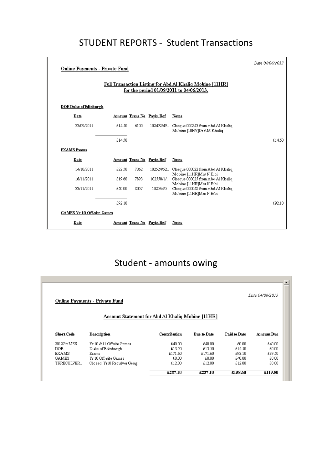## STUDENT REPORTS - Student Transactions

| <b>Online Payments - Private Fund</b> |        |      |                           | Full Transaction Listing for Abd Al Khaliq Mobine [11HR]<br>for the period 01/09/2011 to 04/06/2013. | Date 04/06/2013 |
|---------------------------------------|--------|------|---------------------------|------------------------------------------------------------------------------------------------------|-----------------|
| <b>DOE Duke of Edinburgh</b>          |        |      |                           |                                                                                                      |                 |
| Date                                  |        |      | Amount Trans No Payin Ref | Notes                                                                                                |                 |
| 22/09/2011                            | £14.50 | 6100 |                           | 102492/49. Cheque 000843 from Abd Al Khaliq<br>Mobine [10HY]Dr AM Khaliq                             |                 |
|                                       | £14.50 |      |                           |                                                                                                      | £14.50          |
| <b>EXAMS</b> Exams                    |        |      |                           |                                                                                                      |                 |
| Date                                  |        |      | Amount Trans No Payin Ref | <b>Notes</b>                                                                                         |                 |
| 14/10/2011                            | £22.50 | 7362 |                           | 102524/52. Cheque 000022 from Abd Al Khaliq                                                          |                 |
| 16/11/2011                            | £19.60 | 7893 | 102550/1/                 | Mobine [11HR]Mrs N Bibi<br>Cheque 000025 from Abd Al Khaliq                                          |                 |
| 22/11/2011                            | £50.00 | 8057 | 102564/5                  | Mobine [11HR]Mrs N Bibi<br>Cheque 000048 from Abd Al Khaliq<br>Mobine [11HR]Mrs N Bibi               |                 |
|                                       | £92.10 |      |                           |                                                                                                      | £92.10          |
| <b>GAMES Yr 10 Off-site Games</b>     |        |      |                           |                                                                                                      |                 |
| Date                                  |        |      | Amount Trans No Payin Ref | Notes                                                                                                |                 |

# Student - amounts owing

| Date 04/06/2013<br><b>Online Payments - Private Fund</b> |                             |              |             |              |            |  |
|----------------------------------------------------------|-----------------------------|--------------|-------------|--------------|------------|--|
| <b>Account Statement for Abd Al Khaliq Mobine [11HR]</b> |                             |              |             |              |            |  |
| Short Code                                               | Description                 | Contribution | Due to Date | Paid to Date | Amount Due |  |
|                                                          |                             |              |             |              |            |  |
|                                                          | Yr 10 & 11 Offsite Games    | £40.00       | £40.00      | £0.00        | £40.00     |  |
|                                                          | Duke of Edinburgh           | £13.50       | £13.50      | £14.50       | £0.00      |  |
|                                                          | Exams                       | £171.60      | £171.60     | £92.10       | £79.50     |  |
|                                                          | Yr 10 Off-site Games        | £0.00.       | £0.00       | £40.00       | £0.00      |  |
| 2012GAMES<br>DOE.<br><b>EXAMS</b><br>GAMES<br>TRRECULVER | Closed. Yr10 Reculver Geog. | £12.00       | £12.00      | £12.00       | £0.00      |  |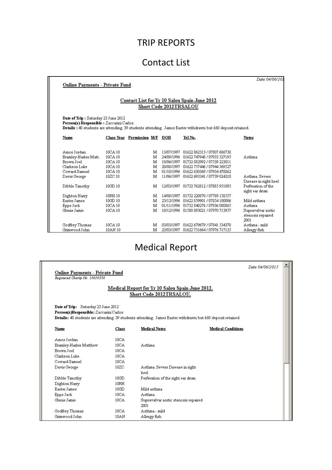### TRIP REPORTS

#### Contact List

| <b>Online Payments - Private Fund</b>                                               |                                          |                               |                                                      |                                                                                                                          | Date 04/06/201                                                           |
|-------------------------------------------------------------------------------------|------------------------------------------|-------------------------------|------------------------------------------------------|--------------------------------------------------------------------------------------------------------------------------|--------------------------------------------------------------------------|
|                                                                                     |                                          | Short Code 2012TRSALOU        |                                                      | Contact List for Yr 10 Salou Spain June 2012                                                                             |                                                                          |
| Date of Trip: Saturday 23 June 2012<br>Person(s) Responsible : Zaccarini Carlos.    |                                          |                               |                                                      | Details : 40 students are attending. 39 students attending. James Easter withdrawn but £60 deposit retained.             |                                                                          |
| Name                                                                                |                                          | Class Year Permission M/F DOB |                                                      | Tel No.                                                                                                                  | Notes                                                                    |
| Amos Jordan<br>Bramley-Harker Matt<br>Brown Joel<br>Clarkson Luke-<br>Coward Samuel | 10CA 10<br>10CA 10<br>10CA 10<br>10CA 10 | м<br>м<br>м<br>м              | 13/07/1997<br>24/09/1996<br>10/06/1997<br>20/08/1997 | 01622 862313 / 07807 686738<br>01622 747948 / 07933 527195<br>01732 882992 / 07539 223011<br>01622 757446 / 07944 569527 | Asthma                                                                   |
| Davis George                                                                        | 10CA 10<br>10ZC 10                       | м<br>М                        | 01/10/1996<br>11/06/1997                             | 01622 630369 / 07934 478862<br>01622 693341 / 07739 024210                                                               | Asthma Severs<br>Disease in right heel                                   |
| Dibble Timothy                                                                      | 10GD 10<br>10RH 10                       | M<br>M                        | 12/03/1997<br>14/08/1997                             | 01732 762812 / 07885 951895<br>01732 220870 / 07789 138557                                                               | Perferation of the<br>right ear drum                                     |
| Dighton Harry<br>Easter James<br>Epps Jack<br>Glenie Jamie                          | 10GD 10<br>10CA 10<br>10CA 10            | м<br>м<br>м                   | 23/12/1996<br>10/12/1996                             | 01622 859901 / 07854 100006<br>01/11/1996 01732 840276 / 07936 080865<br>01580 893021 / 07970 713957                     | Mild asthma<br>Asthma<br>Supravalvar aortic<br>stenosis repaired<br>2001 |
| Godfrey Thomas<br>Grimwood John                                                     | 10CA 10<br>10AN 10                       | M<br>м                        | 03/03/1997<br>23/03/1997                             | 01622 679679 / 07841 534370<br>01622 751664 / 07976 717135                                                               | Asthma - mild<br>Allergy fish                                            |

# Medical Report

| <b>Online Payments - Private Fund</b>                                         |                  |                                                                                                             | Date 04/06/2013 |  |  |
|-------------------------------------------------------------------------------|------------------|-------------------------------------------------------------------------------------------------------------|-----------------|--|--|
| Registered Charity No. 16656336                                               |                  |                                                                                                             |                 |  |  |
| Medical Report for Yr 10 Salou Spain June 2012.<br>Short Code 2012TRSALOU.    |                  |                                                                                                             |                 |  |  |
| Date of Trip: Saturday 23 June 2012<br>Person(s)Responsible: Zaccarini Carlos |                  | Details: 40 students are attending. 39 students attending. James Easter withdrawn but £60 deposit retained. |                 |  |  |
| Name                                                                          | Class            | <b>Medical Conditions</b><br><b>Medical Notes</b>                                                           |                 |  |  |
| Amos Jordan                                                                   | 10CA             |                                                                                                             |                 |  |  |
| Bramley-Harker Matthew                                                        | 10CA             | Asthma                                                                                                      |                 |  |  |
| Brown Joel                                                                    | 10CA             |                                                                                                             |                 |  |  |
| Clarkson Luke                                                                 | 10 <sub>CA</sub> |                                                                                                             |                 |  |  |
| Coward Samuel                                                                 | 10CA             |                                                                                                             |                 |  |  |
| Davis George                                                                  | 10ZC             | Asthma. Severs Disease in right<br>heel                                                                     |                 |  |  |
| Dibble Timothy                                                                | 10G <sub>D</sub> | Perferation of the right ear drum                                                                           |                 |  |  |
| Dighton Harry                                                                 | 10RH             |                                                                                                             |                 |  |  |
| Easter James                                                                  | 10GD             | Mild asthma                                                                                                 |                 |  |  |
| Epps Jack                                                                     | 10CA             | Asthma                                                                                                      |                 |  |  |
| Glenie Jamie                                                                  | 10CA             | Supravalvar aortic stenosis repaired<br>2001                                                                |                 |  |  |
| Godfrey Thomas                                                                | 10CA             | Asthma - mild                                                                                               |                 |  |  |
| Grimwood John                                                                 | 10AN             | Allergy fish                                                                                                |                 |  |  |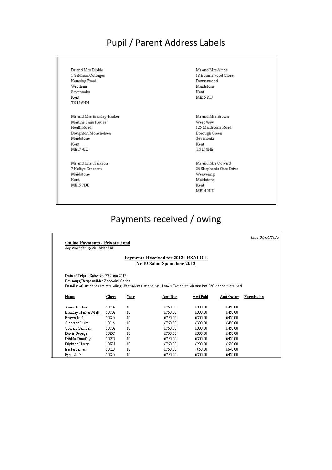#### Pupil / Parent Address Labels

 $\mathrm{Dr}$  and  $\mathrm{Mrs}$  Dibble 1 Yaldham Cottages Kemsing Road Wrotham Sevenoaks Kent TN156NN

Mr and Mrs Bramley-Harker Martins Farm House Heath Road Boughton Monchelsea Maidstone Kent ME17 4JD

Mr and Mrs Clarkson 7 Holtye Crescent Maidstone Kent ME157DB

 $\rm{Mr}$  and  $\rm{Mrs}$   $\rm{Amos}$ 18 Bournewood Close Downswood Maidstone Kent ME15 8TJ

Mr and Mrs Brown West View 125 Maidstone Road Borough Green Sevenoaks Kent TN158HE

Mr and Mrs Coward 26 Shepherds Gate Drive Weavering Maidstone  $\operatorname{Kent}$ **ME14 5UU** 

#### Payments received / owing

**Online Payments - Private Fund** Registered Charity No. 16656336

Date 04/06/2013

#### Payments Received for 2012TRSALOU.  $\underline{\mathrm{Yr}}$  10 Salou Spain June 2012

Date of Trip: Saturday 23 June 2012 Person(s)Responsible: Zaccarini Carlos

Details: 40 students are attending. 39 students attending. James Easter withdrawn but £60 deposit retained.

| Name                | Class            | Year | Amt Due | Amt Paid | Amt Owing | Permission |
|---------------------|------------------|------|---------|----------|-----------|------------|
| Amos Jordan         | 10CA             | 10   | £750.00 | £300.00  | £450.00   |            |
| Bramley-Harker Matt | 10 <sub>CA</sub> | 10   | £750.00 | £300.00  | £450.00   |            |
| Brown Joel          | 10CA             | 10   | £750.00 | £300.00  | £450.00   |            |
| Clarkson Luke       | 10CA             | 10   | £750.00 | £300.00  | £450.00   |            |
| Coward Samuel       | 10 <sub>CA</sub> | 10   | £750.00 | £300.00  | £450.00   |            |
| Davis George        | 10ZC             | 10   | £750.00 | £300.00  | £450.00   |            |
| Dibble Timothy      | 10GD             | 10   | £750.00 | £300.00  | £450.00   |            |
| Dighton Harry       | 10RH             | 10   | £750.00 | £200.00  | £550.00   |            |
| Easter James        | 10GD             | 10   | £750.00 | £60.00   | £690.00   |            |
| Epps Jack           | 10CA             | 10   | £750.00 | £300.00  | £450.00   |            |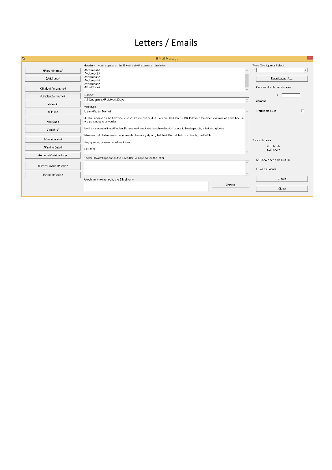## Letters / Emails

| b                     | E Mail Message                                                                                                                                                                                                                                                                     | $\mathsf{x}$                      |
|-----------------------|------------------------------------------------------------------------------------------------------------------------------------------------------------------------------------------------------------------------------------------------------------------------------------|-----------------------------------|
|                       | Header - It won't appear on the E Mail but will appear on the letter                                                                                                                                                                                                               | Type Overtype or Select           |
| #Parent Name#         | #Address1#<br>$\wedge$<br>#Address2#                                                                                                                                                                                                                                               | $\blacksquare$                    |
| #Address#             | #Address3#<br>#Address4#<br>#Address5#                                                                                                                                                                                                                                             | Save Layout As                    |
| #Student Forename#    | #PostCode#                                                                                                                                                                                                                                                                         | Only send to those who owe        |
| #Student Surname#     | Subject                                                                                                                                                                                                                                                                            | £                                 |
| #Year#                | AS Geography Fieldwork Days<br>$\sim$<br>Message                                                                                                                                                                                                                                   | or more.                          |
| #Class#               | Dear #Parent Name#                                                                                                                                                                                                                                                                 | г<br>Permission Slip              |
| #He She#<br>#he she#  | Just an update on the fieldwork visit to Gressingham Mud Flats on 16th March 2016, following the extensive rain we have had for<br>the past couple of weeks.<br>It will be essential that #Student Forename# has knee length wellington boots, full waterproofs, a hat and gloves. |                                   |
|                       |                                                                                                                                                                                                                                                                                    |                                   |
| #Contribution#        | Please could I also remind anyone who has not yet paid, that the £15 contribution is due by the Fri 21st.<br>Any queries, please do let me know.                                                                                                                                   | This will create                  |
| #Paid to Date#        | Mr Steel                                                                                                                                                                                                                                                                           | 42 E Mails<br>No Letters          |
| #Amount Outstanding#  | Footer - It won't appear on the E Mail but will appear on the letter<br>$\mathcal{N}_\mathrm{b}$ .                                                                                                                                                                                 | $\nabla$ Show each email in turn. |
| #Direct Payment Code# |                                                                                                                                                                                                                                                                                    | $\Box$ All as Letters             |
| #Student Code#        |                                                                                                                                                                                                                                                                                    |                                   |
|                       | Attachment - Attached to the E Mail only                                                                                                                                                                                                                                           | Create                            |
|                       | Browse                                                                                                                                                                                                                                                                             | Close                             |